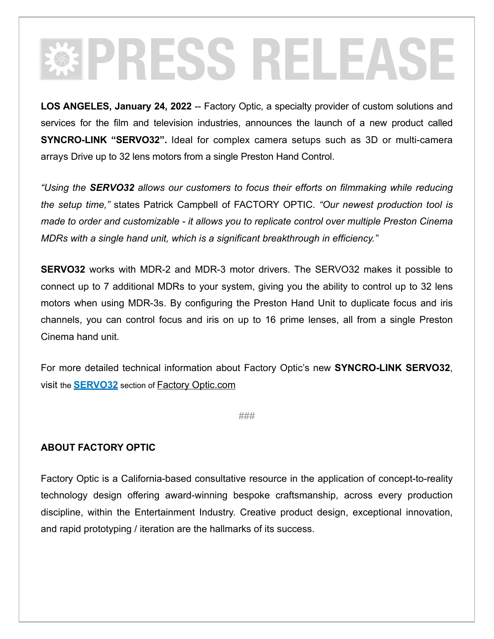## **PRESS RELEASE**

LOS ANGELES, January 24, 2022 -- Factory Optic, a specialty provider of custom solutions and services for the film and television industries, announces the launch of a new product called **SYNCRO-LINK "SERVO32".** Ideal for complex camera setups such as 3D or multi-camera arrays Drive up to 32 lens motors from a single Preston Hand Control.

*"Using the SERVO32 allows our customers to focus their efforts on filmmaking while reducing the setup time,"* states Patrick Campbell of FACTORY OPTIC. *"Our newest production tool is made to order and customizable - it allows you to replicate control over multiple Preston Cinema MDRs with a single hand unit, which is a significant breakthrough in efficiency."*

**SERVO32** works with MDR-2 and MDR-3 motor drivers. The SERVO32 makes it possible to connect up to 7 additional MDRs to your system, giving you the ability to control up to 32 lens motors when using MDR-3s. By configuring the Preston Hand Unit to duplicate focus and iris channels, you can control focus and iris on up to 16 prime lenses, all from a single Preston Cinema hand unit.

For more detailed technical information about Factory Optic's new **SYNCRO-LINK SERVO32**, visit the **[SERVO32](https://factoryoptic.com/?page_id=1488)** section of [Factory Optic.com](http://www.factoryoptic.com)

###

## **ABOUT FACTORY OPTIC**

Factory Optic is a California-based consultative resource in the application of concept-to-reality technology design offering award-winning bespoke craftsmanship, across every production discipline, within the Entertainment Industry. Creative product design, exceptional innovation, and rapid prototyping / iteration are the hallmarks of its success.